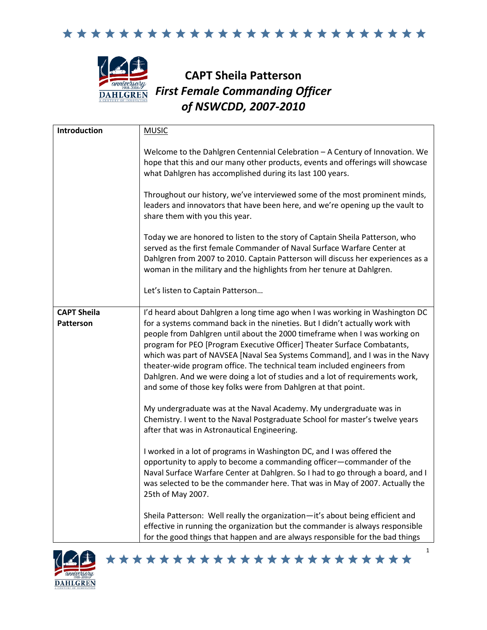



# **CAPT Sheila Patterson** *First Female Commanding Officer of NSWCDD, 2007-2010*

| Introduction                           | <b>MUSIC</b>                                                                                                                                                                                                                                                                                                                                                                                                                                                                                                                                                                                                                   |
|----------------------------------------|--------------------------------------------------------------------------------------------------------------------------------------------------------------------------------------------------------------------------------------------------------------------------------------------------------------------------------------------------------------------------------------------------------------------------------------------------------------------------------------------------------------------------------------------------------------------------------------------------------------------------------|
|                                        | Welcome to the Dahlgren Centennial Celebration - A Century of Innovation. We<br>hope that this and our many other products, events and offerings will showcase<br>what Dahlgren has accomplished during its last 100 years.                                                                                                                                                                                                                                                                                                                                                                                                    |
|                                        | Throughout our history, we've interviewed some of the most prominent minds,<br>leaders and innovators that have been here, and we're opening up the vault to<br>share them with you this year.                                                                                                                                                                                                                                                                                                                                                                                                                                 |
|                                        | Today we are honored to listen to the story of Captain Sheila Patterson, who<br>served as the first female Commander of Naval Surface Warfare Center at<br>Dahlgren from 2007 to 2010. Captain Patterson will discuss her experiences as a<br>woman in the military and the highlights from her tenure at Dahlgren.                                                                                                                                                                                                                                                                                                            |
|                                        | Let's listen to Captain Patterson                                                                                                                                                                                                                                                                                                                                                                                                                                                                                                                                                                                              |
| <b>CAPT Sheila</b><br><b>Patterson</b> | I'd heard about Dahlgren a long time ago when I was working in Washington DC<br>for a systems command back in the nineties. But I didn't actually work with<br>people from Dahlgren until about the 2000 timeframe when I was working on<br>program for PEO [Program Executive Officer] Theater Surface Combatants,<br>which was part of NAVSEA [Naval Sea Systems Command], and I was in the Navy<br>theater-wide program office. The technical team included engineers from<br>Dahlgren. And we were doing a lot of studies and a lot of requirements work,<br>and some of those key folks were from Dahlgren at that point. |
|                                        | My undergraduate was at the Naval Academy. My undergraduate was in<br>Chemistry. I went to the Naval Postgraduate School for master's twelve years<br>after that was in Astronautical Engineering.                                                                                                                                                                                                                                                                                                                                                                                                                             |
|                                        | I worked in a lot of programs in Washington DC, and I was offered the<br>opportunity to apply to become a commanding officer-commander of the<br>Naval Surface Warfare Center at Dahlgren. So I had to go through a board, and I<br>was selected to be the commander here. That was in May of 2007. Actually the<br>25th of May 2007.                                                                                                                                                                                                                                                                                          |
|                                        | Sheila Patterson: Well really the organization-it's about being efficient and<br>effective in running the organization but the commander is always responsible<br>for the good things that happen and are always responsible for the bad things                                                                                                                                                                                                                                                                                                                                                                                |

\*\*\*\*\*\*\*\*\*\*\*\*\*\*\*\*\*\*\*\*\*\*\*

1

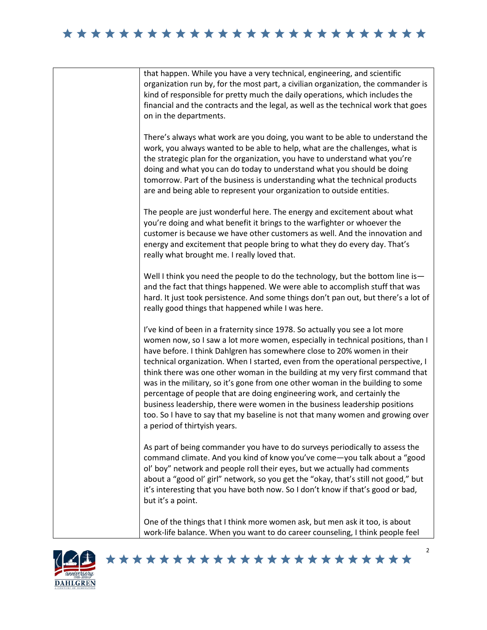### 





#### \*\*\*\*\*\*\*\*\*\*\*\*\*\*\*\*\*\*\*\*\*\*\*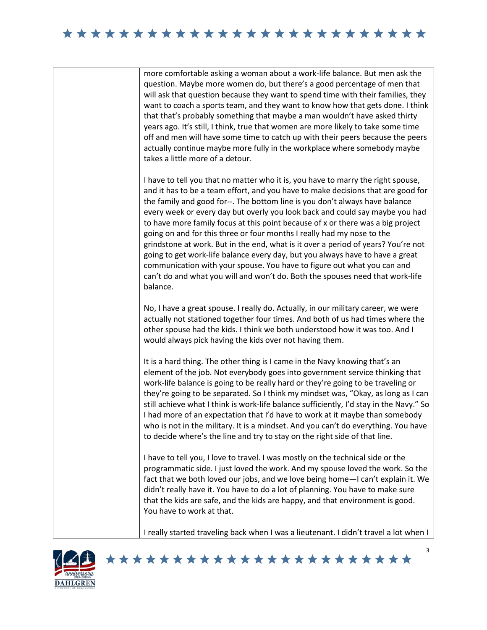#### 

more comfortable asking a woman about a work-life balance. But men ask the question. Maybe more women do, but there's a good percentage of men that will ask that question because they want to spend time with their families, they want to coach a sports team, and they want to know how that gets done. I think that that's probably something that maybe a man wouldn't have asked thirty years ago. It's still, I think, true that women are more likely to take some time off and men will have some time to catch up with their peers because the peers actually continue maybe more fully in the workplace where somebody maybe takes a little more of a detour.

I have to tell you that no matter who it is, you have to marry the right spouse, and it has to be a team effort, and you have to make decisions that are good for the family and good for--. The bottom line is you don't always have balance every week or every day but overly you look back and could say maybe you had to have more family focus at this point because of x or there was a big project going on and for this three or four months I really had my nose to the grindstone at work. But in the end, what is it over a period of years? You're not going to get work-life balance every day, but you always have to have a great communication with your spouse. You have to figure out what you can and can't do and what you will and won't do. Both the spouses need that work-life balance.

No, I have a great spouse. I really do. Actually, in our military career, we were actually not stationed together four times. And both of us had times where the other spouse had the kids. I think we both understood how it was too. And I would always pick having the kids over not having them.

It is a hard thing. The other thing is I came in the Navy knowing that's an element of the job. Not everybody goes into government service thinking that work-life balance is going to be really hard or they're going to be traveling or they're going to be separated. So I think my mindset was, "Okay, as long as I can still achieve what I think is work-life balance sufficiently, I'd stay in the Navy." So I had more of an expectation that I'd have to work at it maybe than somebody who is not in the military. It is a mindset. And you can't do everything. You have to decide where's the line and try to stay on the right side of that line.

I have to tell you, I love to travel. I was mostly on the technical side or the programmatic side. I just loved the work. And my spouse loved the work. So the fact that we both loved our jobs, and we love being home—I can't explain it. We didn't really have it. You have to do a lot of planning. You have to make sure that the kids are safe, and the kids are happy, and that environment is good. You have to work at that.

I really started traveling back when I was a lieutenant. I didn't travel a lot when I

\*\*\*\*\*\*\*\*\*\*\*\*\*\*\*\*\*\*\*\*\*\*\*

3

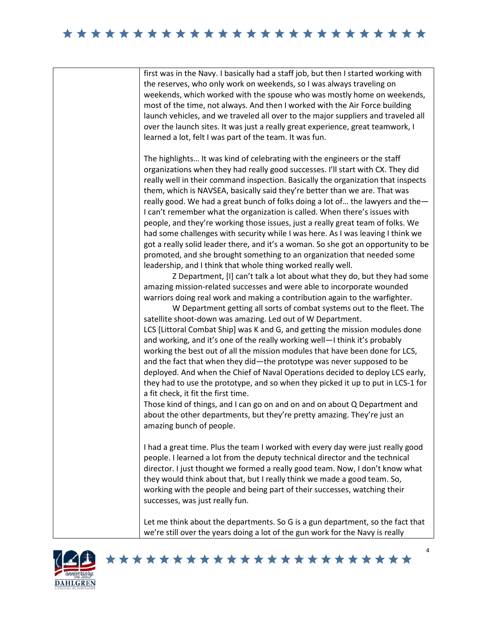## \*\*\*\*\*\*\*\*\*\*\*\*\*\*\*\*\*\*\*\*\*\*\*\*\*





#### \*\*\*\*\*\*\*\*\*\*\*\*\*\*\*\*\*\*\*\*\*\*\*